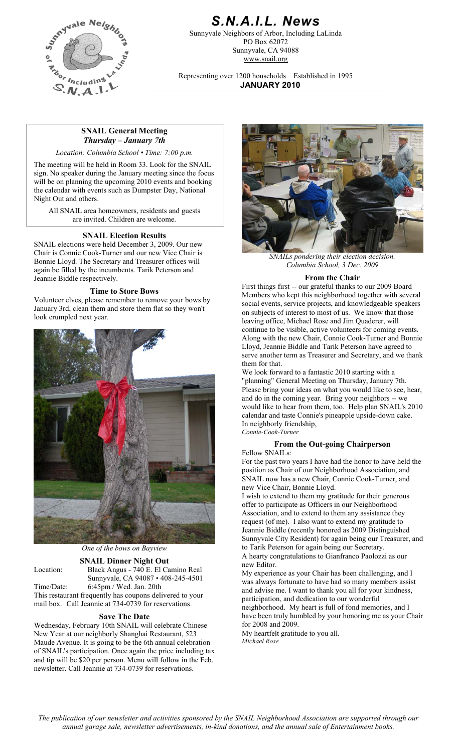

# *S.N.A.I.L. News*

Sunnyvale Neighbors of Arbor, Including LaLinda PO Box 62072 Sunnyvale, CA 94088 www.snail.org

Representing over 1200 households Established in 1995 **JANUARY 2010**

## **SNAIL General Meeting**  *Thursday – January 7th*

*Location: Columbia School • Time: 7:00 p.m.* 

The meeting will be held in Room 33. Look for the SNAIL sign. No speaker during the January meeting since the focus will be on planning the upcoming 2010 events and booking the calendar with events such as Dumpster Day, National Night Out and others.

All SNAIL area homeowners, residents and guests are invited. Children are welcome.

#### **SNAIL Election Results**

SNAIL elections were held December 3, 2009. Our new Chair is Connie Cook-Turner and our new Vice Chair is Bonnie Lloyd. The Secretary and Treasurer offices will again be filled by the incumbents. Tarik Peterson and Jeannie Biddle respectively.

#### **Time to Store Bows**

Volunteer elves, please remember to remove your bows by January 3rd, clean them and store them flat so they won't look crumpled next year.



*One of the bows on Bayview*

**SNAIL Dinner Night Out**<br>Black Angus - 740 E. El Camino Real Location: Black Angus - 740 E. El Camino Real My experience as your Chair has been challenging, and I Sunnyvale, CA 94087 • 408-245-4501 Time/Date: 6:45pm / Wed. Jan. 20th This restaurant frequently has coupons delivered to your

mail box. Call Jeannie at 734-0739 for reservations.

### **Save The Date**

Wednesday, February 10th SNAIL will celebrate Chinese New Year at our neighborly Shanghai Restaurant, 523 Maude Avenue. It is going to be the 6th annual celebration of SNAIL's participation. Once again the price including tax and tip will be \$20 per person. Menu will follow in the Feb. newsletter. Call Jeannie at 734-0739 for reservations.



*SNAILs pondering their election decision. Columbia School, 3 Dec. 2009*

#### **From the Chair**

First things first -- our grateful thanks to our 2009 Board Members who kept this neighborhood together with several social events, service projects, and knowledgeable speakers on subjects of interest to most of us. We know that those leaving office, Michael Rose and Jim Quaderer, will continue to be visible, active volunteers for coming events. Along with the new Chair, Connie Cook-Turner and Bonnie Lloyd, Jeannie Biddle and Tarik Peterson have agreed to serve another term as Treasurer and Secretary, and we thank them for that.

We look forward to a fantastic 2010 starting with a "planning" General Meeting on Thursday, January 7th. Please bring your ideas on what you would like to see, hear, and do in the coming year. Bring your neighbors -- we would like to hear from them, too. Help plan SNAIL's 2010 calendar and taste Connie's pineapple upside-down cake. In neighborly friendship, *Connie-Cook-Turner*

#### **From the Out-going Chairperson**

Fellow SNAILs:

For the past two years I have had the honor to have held the position as Chair of our Neighborhood Association, and SNAIL now has a new Chair, Connie Cook-Turner, and new Vice Chair, Bonnie Lloyd.

I wish to extend to them my gratitude for their generous offer to participate as Officers in our Neighborhood Association, and to extend to them any assistance they request (of me). I also want to extend my gratitude to Jeannie Biddle (recently honored as 2009 Distinguished Sunnyvale City Resident) for again being our Treasurer, and to Tarik Peterson for again being our Secretary. A hearty congratulations to Gianfranco Paolozzi as our new Editor.

was always fortunate to have had so many members assist and advise me. I want to thank you all for your kindness, participation, and dedication to our wonderful neighborhood. My heart is full of fond memories, and I have been truly humbled by your honoring me as your Chair for 2008 and 2009.

My heartfelt gratitude to you all. *Michael Rose*